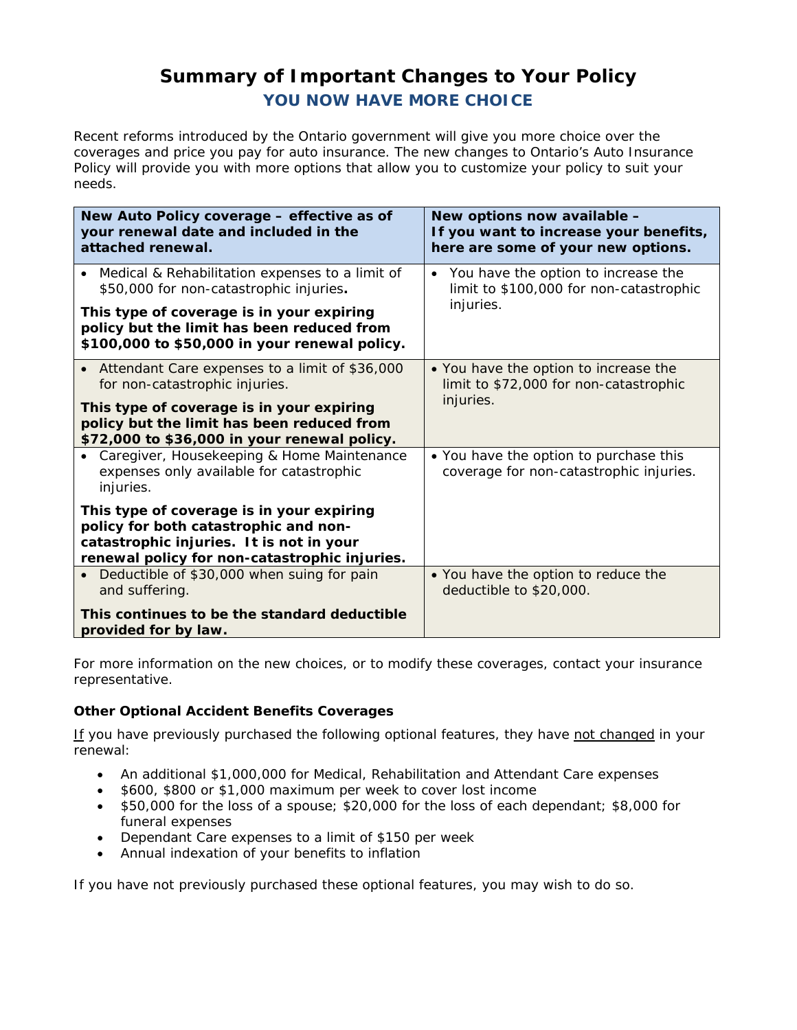# **Summary of Important Changes to Your Policy YOU NOW HAVE MORE CHOICE**

Recent reforms introduced by the Ontario government will give you more choice over the coverages and price you pay for auto insurance. The new changes to Ontario's Auto Insurance Policy will provide you with more options that allow you to customize your policy to suit your needs.

| New Auto Policy coverage - effective as of<br>your renewal date and included in the<br>attached renewal.                                                                                                                    | New options now available -<br>If you want to increase your benefits,<br>here are some of your new options. |
|-----------------------------------------------------------------------------------------------------------------------------------------------------------------------------------------------------------------------------|-------------------------------------------------------------------------------------------------------------|
| • Medical & Rehabilitation expenses to a limit of<br>\$50,000 for non-catastrophic injuries.                                                                                                                                | • You have the option to increase the<br>limit to \$100,000 for non-catastrophic                            |
| This type of coverage is in your expiring<br>policy but the limit has been reduced from<br>\$100,000 to \$50,000 in your renewal policy.                                                                                    | injuries.                                                                                                   |
| Attendant Care expenses to a limit of \$36,000<br>for non-catastrophic injuries.<br>This type of coverage is in your expiring<br>policy but the limit has been reduced from<br>\$72,000 to \$36,000 in your renewal policy. | • You have the option to increase the<br>limit to \$72,000 for non-catastrophic<br>injuries.                |
| • Caregiver, Housekeeping & Home Maintenance<br>expenses only available for catastrophic<br>injuries.                                                                                                                       | • You have the option to purchase this<br>coverage for non-catastrophic injuries.                           |
| This type of coverage is in your expiring<br>policy for both catastrophic and non-<br>catastrophic injuries. It is not in your<br>renewal policy for non-catastrophic injuries.                                             |                                                                                                             |
| Deductible of \$30,000 when suing for pain<br>and suffering.                                                                                                                                                                | • You have the option to reduce the<br>deductible to \$20,000.                                              |
| This continues to be the standard deductible<br>provided for by law.                                                                                                                                                        |                                                                                                             |

For more information on the new choices, or to modify these coverages, contact your insurance representative.

## **Other Optional Accident Benefits Coverages**

If you have previously purchased the following optional features, they have not changed in your renewal:

- An additional \$1,000,000 for Medical, Rehabilitation and Attendant Care expenses
- \$600, \$800 or \$1,000 maximum per week to cover lost income
- • \$50,000 for the loss of a spouse; \$20,000 for the loss of each dependant; \$8,000 for funeral expenses
- • Dependant Care expenses to a limit of \$150 per week
- • Annual indexation of your benefits to inflation

If you have not previously purchased these optional features, you may wish to do so.